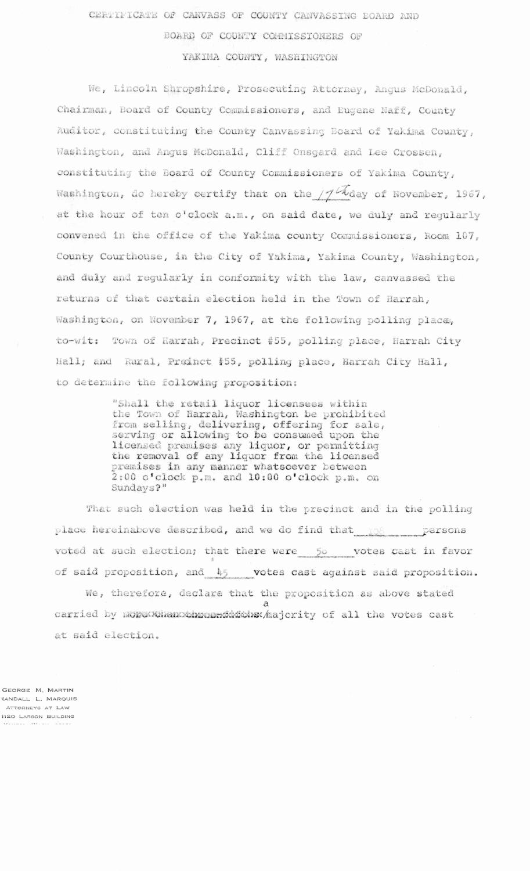CERTIFICATE OF CANVASS OF COUNTY CANVASSING BOARD AND

BOARD OF COUNTY COMMISSIONERS OF

YAKIMA COUNTY, WASHINGTON

We, Lincoln Shropshire, Prosecuting Attorney, Angus McDonald, Chairman, Board of County Commissioners, and Eugene Naff, County Auditor, constituting the County Canvassing Board of Yakima County, Washington, and Angus McDonald, Cliff Onsgard and Lee Crossen, constituting the Board of County Commissioners of Yakima County, Washington, do hereby certify that on the  $/7$  Mday of November, 1967, at the hour of ten o'clock a.m., on said date, we duly and regularly convened in the office of the Yakima county Commissioners, Room 107, County Courthouse, in the City of Yakima, Yakima County, Washington, and duly and regularly in conformity with the law, canvassed the returns of that certain election held in the Town of Harrah, Washington, on November 7, 1967, at the following polling place, to-wit: Town of Harrah, Precinct #55, polling place, Harrah City Hall; and Rural, Preinct #55, polling place, Harrah City Hall, to determine the following proposition:

> "Shall the retail liquor licensees within the Town of Harrah, Washington be prohibited from selling, delivering, offering for sale,<br>serving or allowing to be consumed upon the licensed premises any liquor, or permitting the removal of any liquor from the licensed premises in any manner whatsoever between 2:00 o'clock p.m. and 10:00 o'clock p.m. on Sundays?"

That such election was held in the precinct and in the polling place hereinabove described, and we do find that  $\frac{108}{108}$  persons voted at such election; that there were 50 votes cast in favor of said proposition, and 45 votes cast against said proposition.

We, therefore, declare that the proposition as above stated carried by more xnanxximes widding hajority of all the votes cast at said election.

GEORGE M, MARTIN RANDALL L. MARQUIS ATTORNEYS AT LAW 1120 LARSON BUILDING